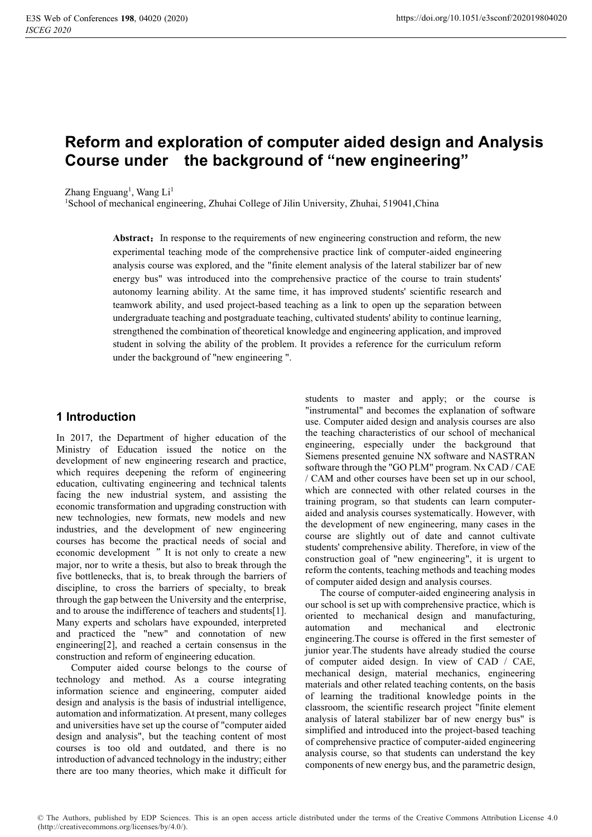# **Reform and exploration of computer aided design and Analysis Course under the background of "new engineering"**

Zhang Enguang<sup>1</sup>, Wang Li<sup>1</sup>

1 School of mechanical engineering, Zhuhai College of Jilin University, Zhuhai, 519041,China

Abstract: In response to the requirements of new engineering construction and reform, the new experimental teaching mode of the comprehensive practice link of computer-aided engineering analysis course was explored, and the "finite element analysis of the lateral stabilizer bar of new energy bus" was introduced into the comprehensive practice of the course to train students' autonomy learning ability. At the same time, it has improved students' scientific research and teamwork ability, and used project-based teaching as a link to open up the separation between undergraduate teaching and postgraduate teaching, cultivated students' ability to continue learning, strengthened the combination of theoretical knowledge and engineering application, and improved student in solving the ability of the problem. It provides a reference for the curriculum reform under the background of "new engineering ".

## **1 Introduction**

In 2017, the Department of higher education of the Ministry of Education issued the notice on the development of new engineering research and practice, which requires deepening the reform of engineering education, cultivating engineering and technical talents facing the new industrial system, and assisting the economic transformation and upgrading construction with new technologies, new formats, new models and new industries, and the development of new engineering courses has become the practical needs of social and economic development "It is not only to create a new major, nor to write a thesis, but also to break through the five bottlenecks, that is, to break through the barriers of discipline, to cross the barriers of specialty, to break through the gap between the University and the enterprise, and to arouse the indifference of teachers and students[1]. Many experts and scholars have expounded, interpreted and practiced the "new" and connotation of new engineering[2], and reached a certain consensus in the construction and reform of engineering education.

Computer aided course belongs to the course of technology and method. As a course integrating information science and engineering, computer aided design and analysis is the basis of industrial intelligence, automation and informatization. At present, many colleges and universities have set up the course of "computer aided design and analysis", but the teaching content of most courses is too old and outdated, and there is no introduction of advanced technology in the industry; either there are too many theories, which make it difficult for

students to master and apply; or the course is "instrumental" and becomes the explanation of software use. Computer aided design and analysis courses are also the teaching characteristics of our school of mechanical engineering, especially under the background that Siemens presented genuine NX software and NASTRAN software through the "GO PLM" program. Nx CAD / CAE / CAM and other courses have been set up in our school, which are connected with other related courses in the training program, so that students can learn computeraided and analysis courses systematically. However, with the development of new engineering, many cases in the course are slightly out of date and cannot cultivate students' comprehensive ability. Therefore, in view of the construction goal of "new engineering", it is urgent to reform the contents, teaching methods and teaching modes of computer aided design and analysis courses.

The course of computer-aided engineering analysis in our school is set up with comprehensive practice, which is oriented to mechanical design and manufacturing, automation and mechanical and electronic engineering.The course is offered in the first semester of junior year.The students have already studied the course of computer aided design. In view of CAD / CAE, mechanical design, material mechanics, engineering materials and other related teaching contents, on the basis of learning the traditional knowledge points in the classroom, the scientific research project "finite element analysis of lateral stabilizer bar of new energy bus" is simplified and introduced into the project-based teaching of comprehensive practice of computer-aided engineering analysis course, so that students can understand the key components of new energy bus, and the parametric design,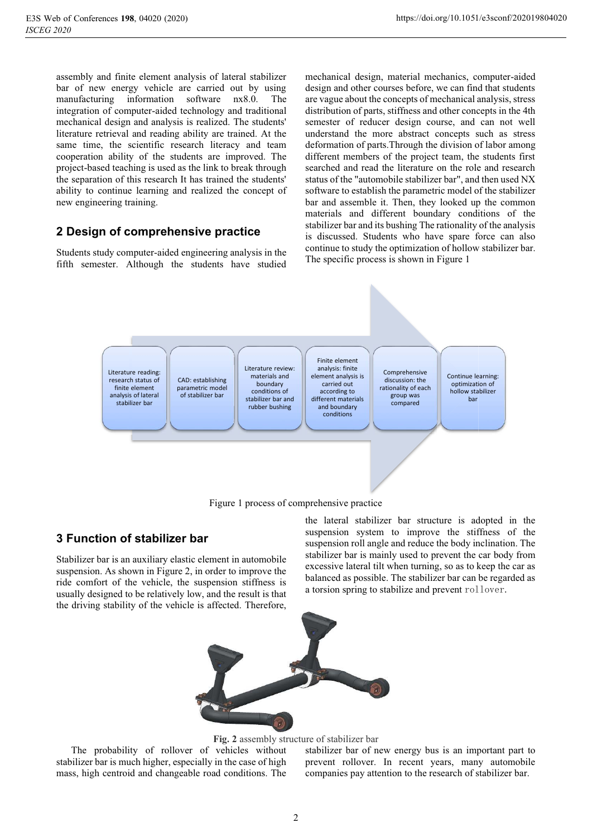assembly and finite element analysis of lateral stabilizer bar of new energy vehicle are carried out by using manufacturing information software nx8.0. The integration of computer-aided technology and traditional mechanical design and analysis is realized. The students' literature retrieval and reading ability are trained. At the same time, the scientific research literacy and team cooperation ability of the students are improved. The project-based teaching is used as the link to break through the separation of this research It has trained the students' ability to continue learning and realized the concept of new engineering training.

### **2 Design of comprehensive practice**

Students study computer-aided engineering analysis in the fifth semester. Although the students have studied

mechanical design, material mechanics, computer-aided design and other courses before, we can find that students are vague about the concepts of mechanical analysis, stress distribution of parts, stiffness and other concepts in the 4th semester of reducer design course, and can not well understand the more abstract concepts such as stress deformation of parts.Through the division of labor among different members of the project team, the students first searched and read the literature on the role and research status of the "automobile stabilizer bar", and then used NX software to establish the parametric model of the stabilizer bar and assemble it. Then, they looked up the common materials and different boundary conditions of the stabilizer bar and its bushing The rationality of the analysis is discussed. Students who have spare force can also continue to study the optimization of hollow stabilizer bar. The specific process is shown in Figure 1





## **3 Function of stabilizer bar**

Stabilizer bar is an auxiliary elastic element in automobile suspension. As shown in Figure 2, in order to improve the ride comfort of the vehicle, the suspension stiffness is usually designed to be relatively low, and the result is that the driving stability of the vehicle is affected. Therefore,

the lateral stabilizer bar structure is adopted in the suspension system to improve the stiffness of the suspension roll angle and reduce the body inclination. The stabilizer bar is mainly used to prevent the car body from excessive lateral tilt when turning, so as to keep the car as balanced as possible. The stabilizer bar can be regarded as a torsion spring to stabilize and prevent rollover.



**Fig. 2** assembly structure of stabilizer bar

The probability of rollover of vehicles without stabilizer bar is much higher, especially in the case of high mass, high centroid and changeable road conditions. The

stabilizer bar of new energy bus is an important part to prevent rollover. In recent years, many automobile companies pay attention to the research of stabilizer bar.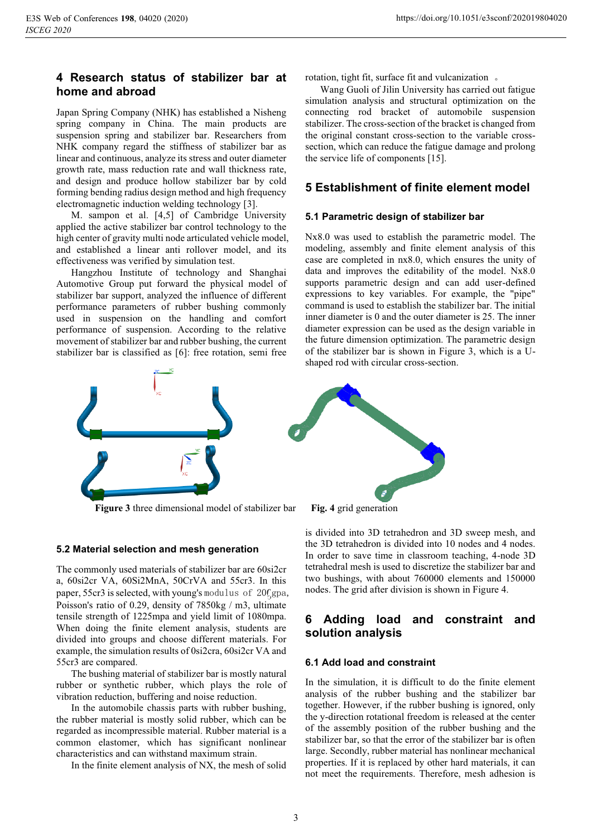### **4 Research status of stabilizer bar at home and abroad**

Japan Spring Company (NHK) has established a Nisheng spring company in China. The main products are suspension spring and stabilizer bar. Researchers from NHK company regard the stiffness of stabilizer bar as linear and continuous, analyze its stress and outer diameter growth rate, mass reduction rate and wall thickness rate, and design and produce hollow stabilizer bar by cold forming bending radius design method and high frequency electromagnetic induction welding technology [3].

M. sampon et al. [4,5] of Cambridge University applied the active stabilizer bar control technology to the high center of gravity multi node articulated vehicle model, and established a linear anti rollover model, and its effectiveness was verified by simulation test.

Hangzhou Institute of technology and Shanghai Automotive Group put forward the physical model of stabilizer bar support, analyzed the influence of different performance parameters of rubber bushing commonly used in suspension on the handling and comfort performance of suspension. According to the relative movement of stabilizer bar and rubber bushing, the current stabilizer bar is classified as [6]: free rotation, semi free

rotation, tight fit, surface fit and vulcanization.

Wang Guoli of Jilin University has carried out fatigue simulation analysis and structural optimization on the connecting rod bracket of automobile suspension stabilizer. The cross-section of the bracket is changed from the original constant cross-section to the variable crosssection, which can reduce the fatigue damage and prolong the service life of components [15].

### **5 Establishment of finite element model**

#### **5.1 Parametric design of stabilizer bar**

Nx8.0 was used to establish the parametric model. The modeling, assembly and finite element analysis of this case are completed in nx8.0, which ensures the unity of data and improves the editability of the model. Nx8.0 supports parametric design and can add user-defined expressions to key variables. For example, the "pipe" command is used to establish the stabilizer bar. The initial inner diameter is 0 and the outer diameter is 25. The inner diameter expression can be used as the design variable in the future dimension optimization. The parametric design of the stabilizer bar is shown in Figure 3, which is a Ushaped rod with circular cross-section.



**Figure 3** three dimensional model of stabilizer bar **Fig. 4** grid generation



#### **5.2 Material selection and mesh generation**

The commonly used materials of stabilizer bar are 60si2cr a, 60si2cr VA, 60Si2MnA, 50CrVA and 55cr3. In this paper, 55cr3 is selected, with young's modulus of  $20 \text{Gga}$ , Poisson's ratio of 0.29, density of 7850kg / m3, ultimate tensile strength of 1225mpa and yield limit of 1080mpa. When doing the finite element analysis, students are divided into groups and choose different materials. For example, the simulation results of 0si2cra, 60si2cr VA and 55cr3 are compared.

The bushing material of stabilizer bar is mostly natural rubber or synthetic rubber, which plays the role of vibration reduction, buffering and noise reduction.

In the automobile chassis parts with rubber bushing, the rubber material is mostly solid rubber, which can be regarded as incompressible material. Rubber material is a common elastomer, which has significant nonlinear characteristics and can withstand maximum strain.

In the finite element analysis of NX, the mesh of solid

is divided into 3D tetrahedron and 3D sweep mesh, and the 3D tetrahedron is divided into 10 nodes and 4 nodes. In order to save time in classroom teaching, 4-node 3D tetrahedral mesh is used to discretize the stabilizer bar and two bushings, with about 760000 elements and 150000 nodes. The grid after division is shown in Figure 4.

# **6 Adding load and constraint and solution analysis**

#### **6.1 Add load and constraint**

In the simulation, it is difficult to do the finite element analysis of the rubber bushing and the stabilizer bar together. However, if the rubber bushing is ignored, only the y-direction rotational freedom is released at the center of the assembly position of the rubber bushing and the stabilizer bar, so that the error of the stabilizer bar is often large. Secondly, rubber material has nonlinear mechanical properties. If it is replaced by other hard materials, it can not meet the requirements. Therefore, mesh adhesion is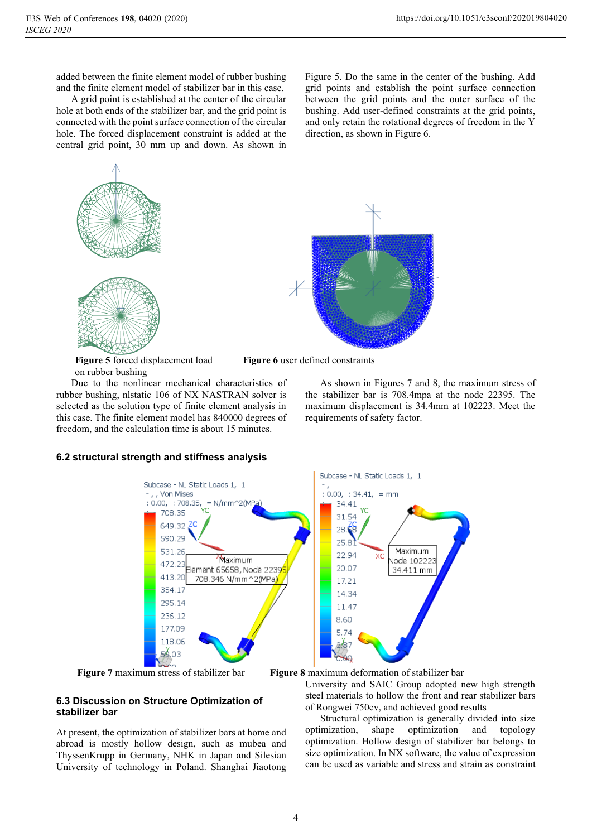added between the finite element model of rubber bushing and the finite element model of stabilizer bar in this case.

A grid point is established at the center of the circular hole at both ends of the stabilizer bar, and the grid point is connected with the point surface connection of the circular hole. The forced displacement constraint is added at the central grid point, 30 mm up and down. As shown in

Figure 5. Do the same in the center of the bushing. Add grid points and establish the point surface connection between the grid points and the outer surface of the bushing. Add user-defined constraints at the grid points, and only retain the rotational degrees of freedom in the Y direction, as shown in Figure 6.



**Figure 5** forced displacement load **Figure 6** user defined constraints on rubber bushing on rubber bushing

Due to the nonlinear mechanical characteristics of rubber bushing, nlstatic 106 of NX NASTRAN solver is selected as the solution type of finite element analysis in this case. The finite element model has 840000 degrees of freedom, and the calculation time is about 15 minutes.



As shown in Figures 7 and 8, the maximum stress of the stabilizer bar is 708.4mpa at the node 22395. The maximum displacement is 34.4mm at 102223. Meet the requirements of safety factor.



#### **6.2 structural strength and stiffness analysis**



**Figure 7** maximum stress of stabilizer bar **Figure 8** maximum deformation of stabilizer bar

236.12

177.09

118.06

59.03

### **6.3 Discussion on Structure Optimization of stabilizer bar**

At present, the optimization of stabilizer bars at home and abroad is mostly hollow design, such as mubea and ThyssenKrupp in Germany, NHK in Japan and Silesian University of technology in Poland. Shanghai Jiaotong

University and SAIC Group adopted new high strength steel materials to hollow the front and rear stabilizer bars of Rongwei 750cv, and achieved good results

Structural optimization is generally divided into size optimization, shape optimization and topology optimization. Hollow design of stabilizer bar belongs to size optimization. In NX software, the value of expression can be used as variable and stress and strain as constraint